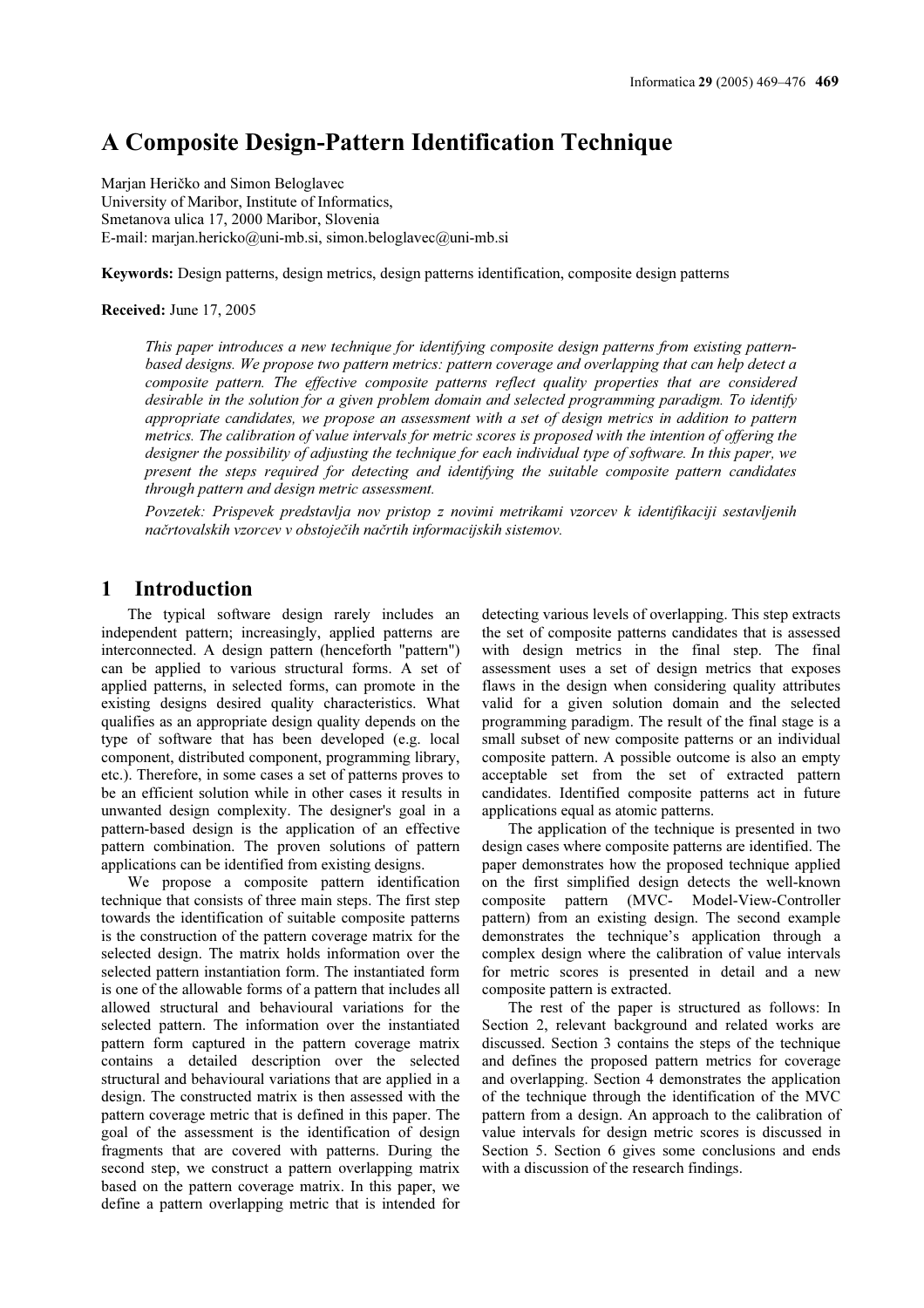# A Composite Design-Pattern Identification Technique

Marian Heričko and Simon Beloglavec University of Maribor, Institute of Informatics, Smetanova ulica 17, 2000 Maribor, Slovenia E-mail: marjan.hericko@uni-mb.si, simon.beloglavec@uni-mb.si

Keywords: Design patterns, design metrics, design patterns identification, composite design patterns

#### Received: June 17, 2005

This paper introduces a new technique for identifying composite design patterns from existing patternbased designs. We propose two pattern metrics: pattern coverage and overlapping that can help detect a composite pattern. The effective composite patterns reflect quality properties that are considered desirable in the solution for a given problem domain and selected programming paradigm. To identify appropriate candidates, we propose an assessment with a set of design metrics in addition to pattern metrics. The calibration of value intervals for metric scores is proposed with the intention of offering the designer the possibility of adjusting the technique for each individual type of software. In this paper, we present the steps required for detecting and identifying the suitable composite pattern candidates through pattern and design metric assessment.

Povzetek: Prispevek predstavlja nov pristop z novimi metrikami vzorcev k identifikaciji sestavljenih načrtovalskih vzorcev v obstoječih načrtih informacijskih sistemov.

### 1 Introduction

The typical software design rarely includes an independent pattern; increasingly, applied patterns are interconnected. A design pattern (henceforth "pattern") can be applied to various structural forms. A set of applied patterns, in selected forms, can promote in the existing designs desired quality characteristics. What qualifies as an appropriate design quality depends on the type of software that has been developed (e.g. local component, distributed component, programming library, etc.). Therefore, in some cases a set of patterns proves to be an efficient solution while in other cases it results in unwanted design complexity. The designer's goal in a pattern-based design is the application of an effective pattern combination. The proven solutions of pattern applications can be identified from existing designs.

We propose a composite pattern identification technique that consists of three main steps. The first step towards the identification of suitable composite patterns is the construction of the pattern coverage matrix for the selected design. The matrix holds information over the selected pattern instantiation form. The instantiated form is one of the allowable forms of a pattern that includes all allowed structural and behavioural variations for the selected pattern. The information over the instantiated pattern form captured in the pattern coverage matrix contains a detailed description over the selected structural and behavioural variations that are applied in a design. The constructed matrix is then assessed with the pattern coverage metric that is defined in this paper. The goal of the assessment is the identification of design fragments that are covered with patterns. During the second step, we construct a pattern overlapping matrix based on the pattern coverage matrix. In this paper, we define a pattern overlapping metric that is intended for detecting various levels of overlapping. This step extracts the set of composite patterns candidates that is assessed with design metrics in the final step. The final assessment uses a set of design metrics that exposes flaws in the design when considering quality attributes valid for a given solution domain and the selected programming paradigm. The result of the final stage is a small subset of new composite patterns or an individual composite pattern. A possible outcome is also an empty acceptable set from the set of extracted pattern candidates. Identified composite patterns act in future applications equal as atomic patterns.

The application of the technique is presented in two design cases where composite patterns are identified. The paper demonstrates how the proposed technique applied on the first simplified design detects the well-known composite pattern (MVC- Model-View-Controller pattern) from an existing design. The second example demonstrates the technique's application through a complex design where the calibration of value intervals for metric scores is presented in detail and a new composite pattern is extracted.

The rest of the paper is structured as follows: In Section 2, relevant background and related works are discussed. Section 3 contains the steps of the technique and defines the proposed pattern metrics for coverage and overlapping. Section 4 demonstrates the application of the technique through the identification of the MVC pattern from a design. An approach to the calibration of value intervals for design metric scores is discussed in Section 5. Section 6 gives some conclusions and ends with a discussion of the research findings.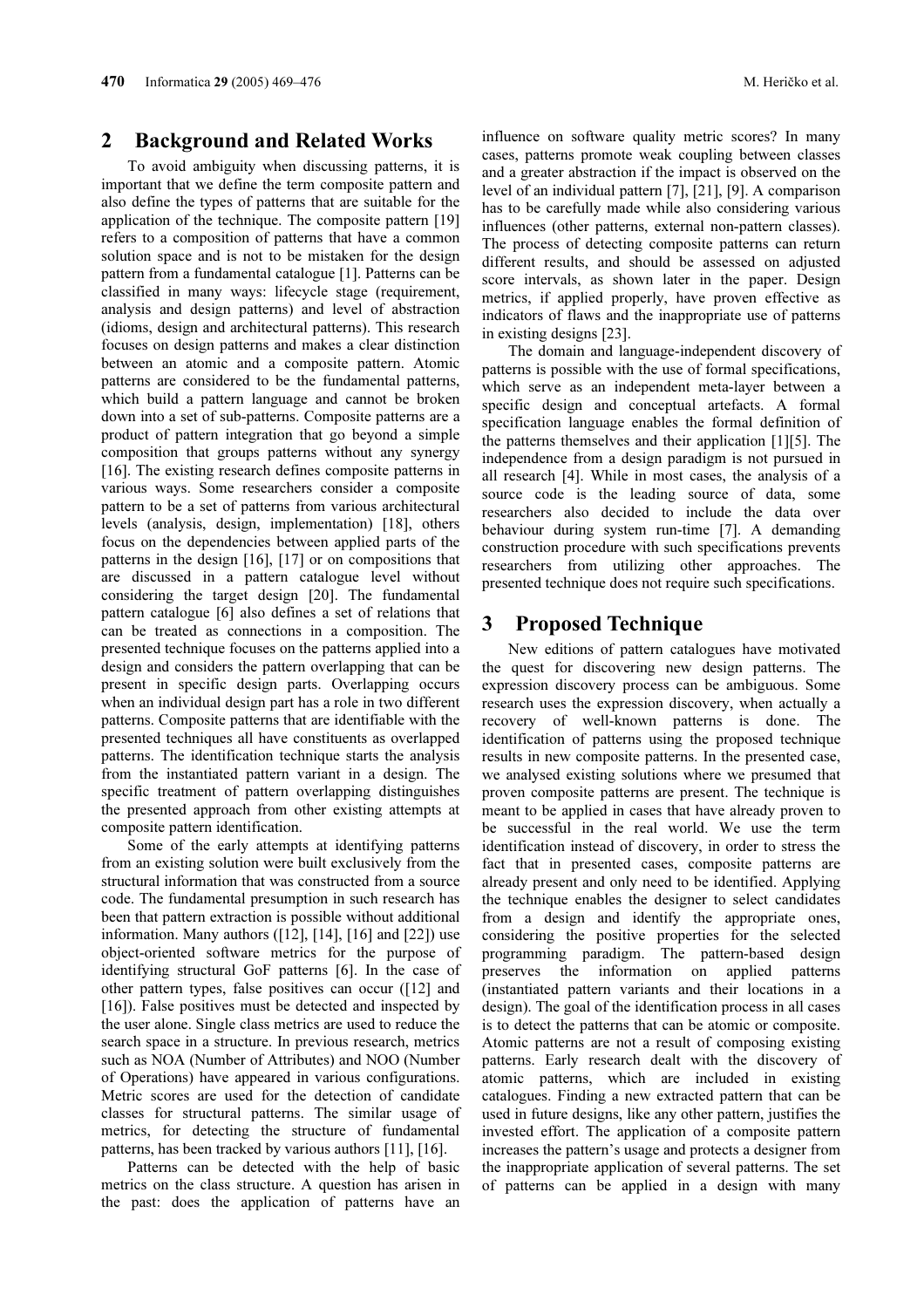### 2 Background and Related Works

To avoid ambiguity when discussing patterns, it is important that we define the term composite pattern and also define the types of patterns that are suitable for the application of the technique. The composite pattern [19] refers to a composition of patterns that have a common solution space and is not to be mistaken for the design pattern from a fundamental catalogue [1]. Patterns can be classified in many ways: lifecycle stage (requirement, analysis and design patterns) and level of abstraction (idioms, design and architectural patterns). This research focuses on design patterns and makes a clear distinction between an atomic and a composite pattern. Atomic patterns are considered to be the fundamental patterns, which build a pattern language and cannot be broken down into a set of sub-patterns. Composite patterns are a product of pattern integration that go beyond a simple composition that groups patterns without any synergy [16]. The existing research defines composite patterns in various ways. Some researchers consider a composite pattern to be a set of patterns from various architectural levels (analysis, design, implementation) [18], others focus on the dependencies between applied parts of the patterns in the design [16], [17] or on compositions that are discussed in a pattern catalogue level without considering the target design [20]. The fundamental pattern catalogue [6] also defines a set of relations that can be treated as connections in a composition. The presented technique focuses on the patterns applied into a design and considers the pattern overlapping that can be present in specific design parts. Overlapping occurs when an individual design part has a role in two different patterns. Composite patterns that are identifiable with the presented techniques all have constituents as overlapped patterns. The identification technique starts the analysis from the instantiated pattern variant in a design. The specific treatment of pattern overlapping distinguishes the presented approach from other existing attempts at composite pattern identification.

Some of the early attempts at identifying patterns from an existing solution were built exclusively from the structural information that was constructed from a source code. The fundamental presumption in such research has been that pattern extraction is possible without additional information. Many authors  $([12], [14], [16]$  and  $[22])$  use object-oriented software metrics for the purpose of identifying structural GoF patterns [6]. In the case of other pattern types, false positives can occur ([12] and [16]). False positives must be detected and inspected by the user alone. Single class metrics are used to reduce the search space in a structure. In previous research, metrics such as NOA (Number of Attributes) and NOO (Number of Operations) have appeared in various configurations. Metric scores are used for the detection of candidate classes for structural patterns. The similar usage of metrics, for detecting the structure of fundamental patterns, has been tracked by various authors [11], [16].

Patterns can be detected with the help of basic metrics on the class structure. A question has arisen in the past: does the application of patterns have an influence on software quality metric scores? In many cases, patterns promote weak coupling between classes and a greater abstraction if the impact is observed on the level of an individual pattern [7], [21], [9]. A comparison has to be carefully made while also considering various influences (other patterns, external non-pattern classes). The process of detecting composite patterns can return different results, and should be assessed on adjusted score intervals, as shown later in the paper. Design metrics, if applied properly, have proven effective as indicators of flaws and the inappropriate use of patterns in existing designs [23].

The domain and language-independent discovery of patterns is possible with the use of formal specifications, which serve as an independent meta-layer between a specific design and conceptual artefacts. A formal specification language enables the formal definition of the patterns themselves and their application [1][5]. The independence from a design paradigm is not pursued in all research [4]. While in most cases, the analysis of a source code is the leading source of data, some researchers also decided to include the data over behaviour during system run-time [7]. A demanding construction procedure with such specifications prevents researchers from utilizing other approaches. The presented technique does not require such specifications.

## 3 Proposed Technique

New editions of pattern catalogues have motivated the quest for discovering new design patterns. The expression discovery process can be ambiguous. Some research uses the expression discovery, when actually a recovery of well-known patterns is done. The identification of patterns using the proposed technique results in new composite patterns. In the presented case, we analysed existing solutions where we presumed that proven composite patterns are present. The technique is meant to be applied in cases that have already proven to be successful in the real world. We use the term identification instead of discovery, in order to stress the fact that in presented cases, composite patterns are already present and only need to be identified. Applying the technique enables the designer to select candidates from a design and identify the appropriate ones, considering the positive properties for the selected programming paradigm. The pattern-based design preserves the information on applied patterns (instantiated pattern variants and their locations in a design). The goal of the identification process in all cases is to detect the patterns that can be atomic or composite. Atomic patterns are not a result of composing existing patterns. Early research dealt with the discovery of atomic patterns, which are included in existing catalogues. Finding a new extracted pattern that can be used in future designs, like any other pattern, justifies the invested effort. The application of a composite pattern increases the pattern's usage and protects a designer from the inappropriate application of several patterns. The set of patterns can be applied in a design with many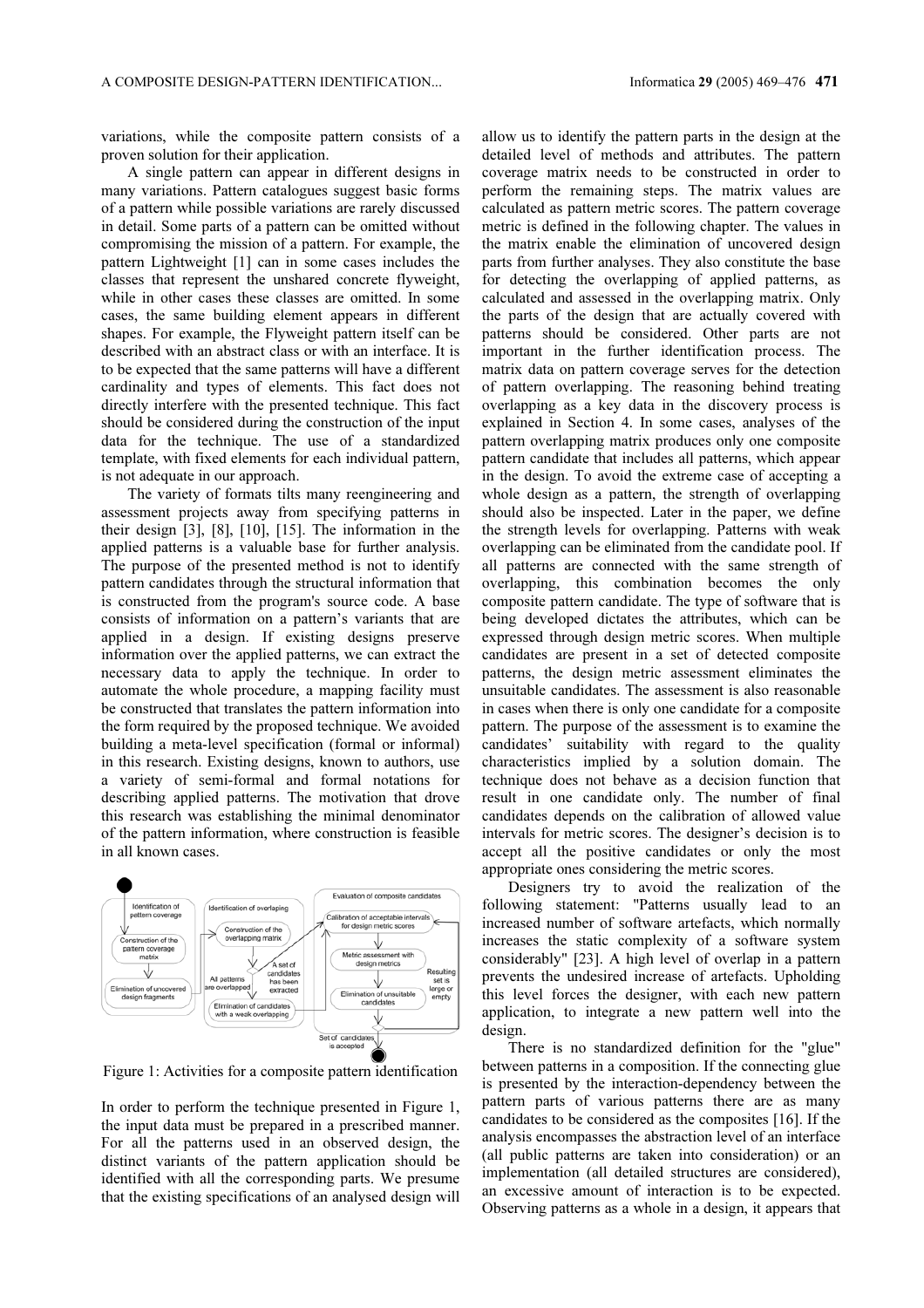variations, while the composite pattern consists of a proven solution for their application.

A single pattern can appear in different designs in many variations. Pattern catalogues suggest basic forms of a pattern while possible variations are rarely discussed in detail. Some parts of a pattern can be omitted without compromising the mission of a pattern. For example, the pattern Lightweight [1] can in some cases includes the classes that represent the unshared concrete flyweight, while in other cases these classes are omitted. In some cases, the same building element appears in different shapes. For example, the Flyweight pattern itself can be described with an abstract class or with an interface. It is to be expected that the same patterns will have a different cardinality and types of elements. This fact does not directly interfere with the presented technique. This fact should be considered during the construction of the input data for the technique. The use of a standardized template, with fixed elements for each individual pattern, is not adequate in our approach.

The variety of formats tilts many reengineering and assessment projects away from specifying patterns in their design [3], [8], [10], [15]. The information in the applied patterns is a valuable base for further analysis. The purpose of the presented method is not to identify pattern candidates through the structural information that is constructed from the program's source code. A base consists of information on a pattern's variants that are applied in a design. If existing designs preserve information over the applied patterns, we can extract the necessary data to apply the technique. In order to automate the whole procedure, a mapping facility must be constructed that translates the pattern information into the form required by the proposed technique. We avoided building a meta-level specification (formal or informal) in this research. Existing designs, known to authors, use a variety of semi-formal and formal notations for describing applied patterns. The motivation that drove this research was establishing the minimal denominator of the pattern information, where construction is feasible in all known cases.



Figure 1: Activities for a composite pattern identification

In order to perform the technique presented in Figure 1, the input data must be prepared in a prescribed manner. For all the patterns used in an observed design, the distinct variants of the pattern application should be identified with all the corresponding parts. We presume that the existing specifications of an analysed design will

allow us to identify the pattern parts in the design at the detailed level of methods and attributes. The pattern coverage matrix needs to be constructed in order to perform the remaining steps. The matrix values are calculated as pattern metric scores. The pattern coverage metric is defined in the following chapter. The values in the matrix enable the elimination of uncovered design parts from further analyses. They also constitute the base for detecting the overlapping of applied patterns, as calculated and assessed in the overlapping matrix. Only the parts of the design that are actually covered with patterns should be considered. Other parts are not important in the further identification process. The matrix data on pattern coverage serves for the detection of pattern overlapping. The reasoning behind treating overlapping as a key data in the discovery process is explained in Section 4. In some cases, analyses of the pattern overlapping matrix produces only one composite pattern candidate that includes all patterns, which appear in the design. To avoid the extreme case of accepting a whole design as a pattern, the strength of overlapping should also be inspected. Later in the paper, we define the strength levels for overlapping. Patterns with weak overlapping can be eliminated from the candidate pool. If all patterns are connected with the same strength of overlapping, this combination becomes the only composite pattern candidate. The type of software that is being developed dictates the attributes, which can be expressed through design metric scores. When multiple candidates are present in a set of detected composite patterns, the design metric assessment eliminates the unsuitable candidates. The assessment is also reasonable in cases when there is only one candidate for a composite pattern. The purpose of the assessment is to examine the candidates' suitability with regard to the quality characteristics implied by a solution domain. The technique does not behave as a decision function that result in one candidate only. The number of final candidates depends on the calibration of allowed value intervals for metric scores. The designer's decision is to accept all the positive candidates or only the most appropriate ones considering the metric scores.

Designers try to avoid the realization of the following statement: "Patterns usually lead to an increased number of software artefacts, which normally increases the static complexity of a software system considerably" [23]. A high level of overlap in a pattern prevents the undesired increase of artefacts. Upholding this level forces the designer, with each new pattern application, to integrate a new pattern well into the design.

There is no standardized definition for the "glue" between patterns in a composition. If the connecting glue is presented by the interaction-dependency between the pattern parts of various patterns there are as many candidates to be considered as the composites [16]. If the analysis encompasses the abstraction level of an interface (all public patterns are taken into consideration) or an implementation (all detailed structures are considered), an excessive amount of interaction is to be expected. Observing patterns as a whole in a design, it appears that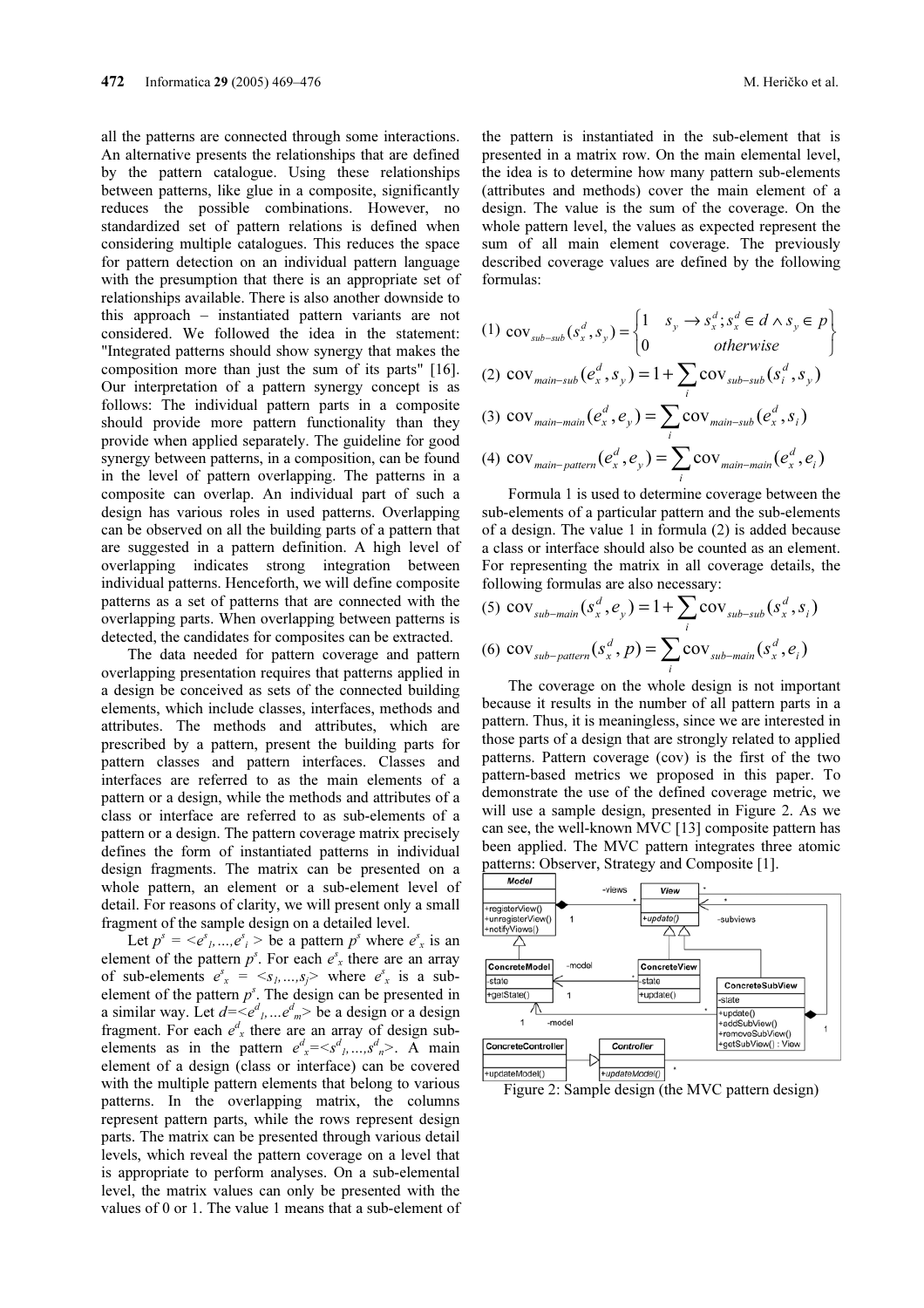all the patterns are connected through some interactions. An alternative presents the relationships that are defined by the pattern catalogue. Using these relationships between patterns, like glue in a composite, significantly reduces the possible combinations. However, no standardized set of pattern relations is defined when considering multiple catalogues. This reduces the space for pattern detection on an individual pattern language with the presumption that there is an appropriate set of relationships available. There is also another downside to this approach – instantiated pattern variants are not considered. We followed the idea in the statement: "Integrated patterns should show synergy that makes the composition more than just the sum of its parts" [16]. Our interpretation of a pattern synergy concept is as follows: The individual pattern parts in a composite should provide more pattern functionality than they provide when applied separately. The guideline for good synergy between patterns, in a composition, can be found in the level of pattern overlapping. The patterns in a composite can overlap. An individual part of such a design has various roles in used patterns. Overlapping can be observed on all the building parts of a pattern that are suggested in a pattern definition. A high level of overlapping indicates strong integration between individual patterns. Henceforth, we will define composite patterns as a set of patterns that are connected with the overlapping parts. When overlapping between patterns is detected, the candidates for composites can be extracted.

The data needed for pattern coverage and pattern overlapping presentation requires that patterns applied in a design be conceived as sets of the connected building elements, which include classes, interfaces, methods and attributes. The methods and attributes, which are prescribed by a pattern, present the building parts for pattern classes and pattern interfaces. Classes and interfaces are referred to as the main elements of a pattern or a design, while the methods and attributes of a class or interface are referred to as sub-elements of a pattern or a design. The pattern coverage matrix precisely defines the form of instantiated patterns in individual design fragments. The matrix can be presented on a whole pattern, an element or a sub-element level of detail. For reasons of clarity, we will present only a small fragment of the sample design on a detailed level.

Let  $p^s = \langle e^s_1, ..., e^s_i \rangle$  be a pattern  $p^s$  where  $e^s_x$  is an element of the pattern  $p^s$ . For each  $e^s$ <sub>x</sub> there are an array of sub-elements  $e^{s_x} = \langle s_1, ..., s_j \rangle$  where  $e^{s_x}$  is a subelement of the pattern  $p^s$ . The design can be presented in a similar way. Let  $d = \langle e^d_1, ... e^d_m \rangle$  be a design or a design fragment. For each  $e^d$ <sub>x</sub> there are an array of design subelements as in the pattern  $e^d_x = \langle s^d_1, ..., s^d_n \rangle$ . A main element of a design (class or interface) can be covered with the multiple pattern elements that belong to various patterns. In the overlapping matrix, the columns represent pattern parts, while the rows represent design parts. The matrix can be presented through various detail levels, which reveal the pattern coverage on a level that is appropriate to perform analyses. On a sub-elemental level, the matrix values can only be presented with the values of 0 or 1. The value 1 means that a sub-element of

the pattern is instantiated in the sub-element that is presented in a matrix row. On the main elemental level, the idea is to determine how many pattern sub-elements (attributes and methods) cover the main element of a design. The value is the sum of the coverage. On the whole pattern level, the values as expected represent the sum of all main element coverage. The previously described coverage values are defined by the following formulas:

(1) ⎭  $\left\{ \right.$ ⎫  $\overline{a}$  $\begin{cases} 1 & s_y \rightarrow s_x^d; s_x^d \in d \wedge s_y \in \end{cases}$  $\begin{pmatrix} s_x^d, s_y \end{pmatrix} = \begin{cases} 1 & s_y & s_x^s, s_x \in \mathcal{U} \ 0 & otherwise \end{cases}$  $s_{sub-sub} (s_x^d, s_y) =\begin{cases} 1 & s_y \rightarrow s_x^d; s_x^d \in d \wedge s_y \in p \\ 0 & otherwise \end{cases}$  $\text{cov}_{\text{sub-sub}}(s_x^d, s_y) = \begin{cases} 1 & s_y \rightarrow s_x^d; \\ 1 & s_y \rightarrow s_y^d. \end{cases}$ 

(2) 
$$
\text{cov}_{\text{main-sub}}(e_x^d, s_y) = 1 + \sum_i \text{cov}_{\text{sub-sub}}(s_i^d, s_y)
$$

(3) 
$$
\text{cov}_{\text{main-min}}(e_x^d, e_y) = \sum_i \text{cov}_{\text{main-sub}}(e_x^d, s_i)
$$

(4) 
$$
\text{cov}_{\text{main-patten}}(e_x^d, e_y) = \sum_i \text{cov}_{\text{main-main}}(e_x^d, e_i)
$$

Formula 1 is used to determine coverage between the sub-elements of a particular pattern and the sub-elements of a design. The value 1 in formula (2) is added because a class or interface should also be counted as an element. For representing the matrix in all coverage details, the following formulas are also necessary:

(5) 
$$
\text{cov}_{\text{sub-mail}}(s_x^d, e_y) = 1 + \sum_i \text{cov}_{\text{sub-sub}}(s_x^d, s_i)
$$

(6) 
$$
\text{cov}_{sub-partern}(s_x^d, p) = \sum_i \text{cov}_{sub-min}(s_x^d, e_i)
$$

The coverage on the whole design is not important because it results in the number of all pattern parts in a pattern. Thus, it is meaningless, since we are interested in those parts of a design that are strongly related to applied patterns. Pattern coverage (cov) is the first of the two pattern-based metrics we proposed in this paper. To demonstrate the use of the defined coverage metric, we will use a sample design, presented in Figure 2. As we can see, the well-known MVC [13] composite pattern has been applied. The MVC pattern integrates three atomic patterns: Observer, Strategy and Composite [1].



Figure 2: Sample design (the MVC pattern design)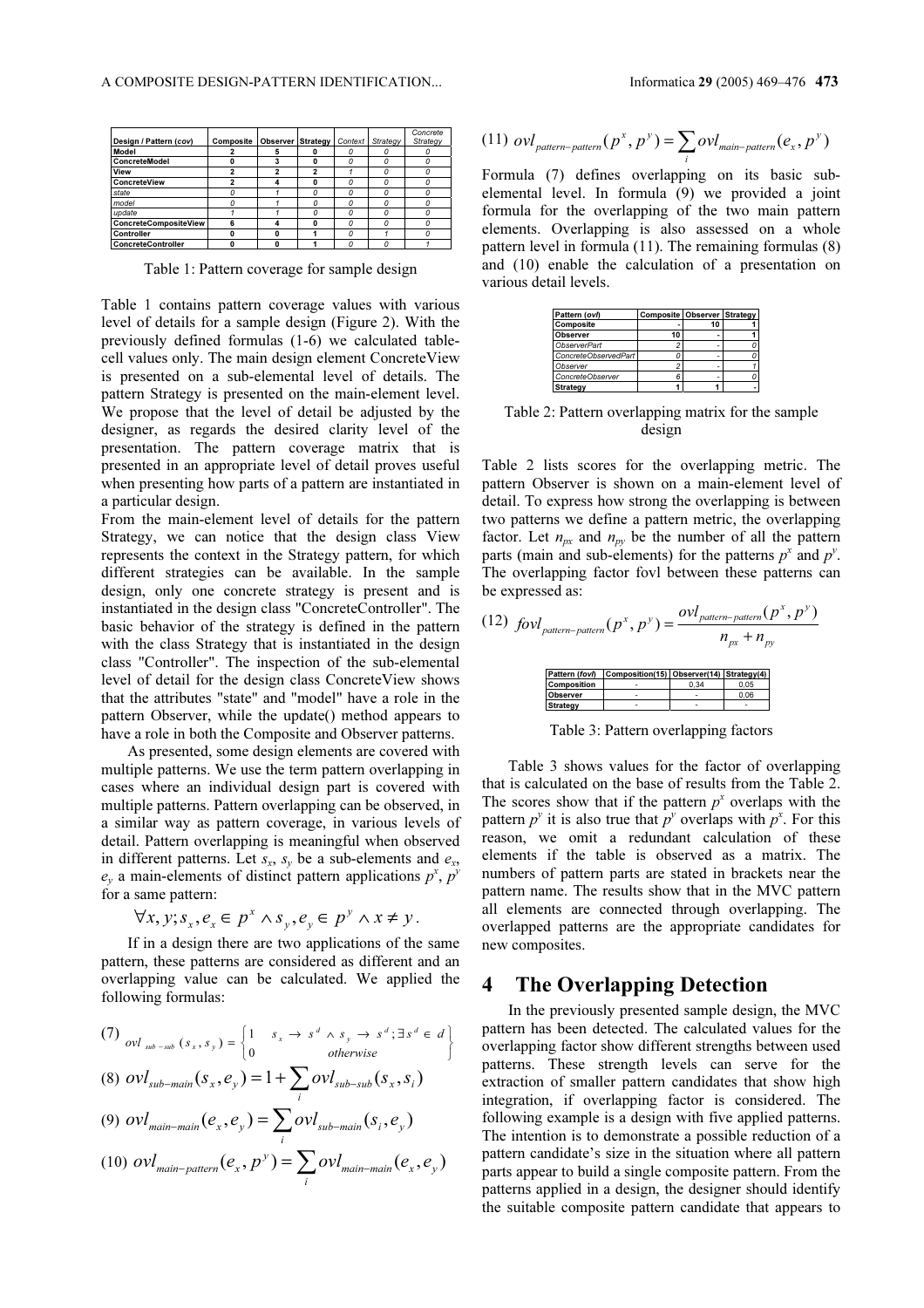|                           |           |                          |         |          | Concrete |
|---------------------------|-----------|--------------------------|---------|----------|----------|
| Design / Pattern (cov)    | Composite | <b>Observer Strategy</b> | Context | Strategy | Strategy |
| Model                     |           |                          |         |          |          |
| <b>ConcreteModel</b>      |           |                          |         |          |          |
| View                      |           |                          |         |          |          |
| ConcreteView              |           | Δ                        |         |          |          |
| state                     |           |                          |         |          |          |
| model                     |           |                          |         |          |          |
| update                    |           |                          |         |          |          |
| ConcreteCompositeView     | ĥ         | Δ                        |         |          |          |
| Controller                |           | ŋ                        |         |          |          |
| <b>ConcreteController</b> |           | ŋ                        |         |          |          |

Table 1: Pattern coverage for sample design

Table 1 contains pattern coverage values with various level of details for a sample design (Figure 2). With the previously defined formulas (1-6) we calculated tablecell values only. The main design element ConcreteView is presented on a sub-elemental level of details. The pattern Strategy is presented on the main-element level. We propose that the level of detail be adjusted by the designer, as regards the desired clarity level of the presentation. The pattern coverage matrix that is presented in an appropriate level of detail proves useful when presenting how parts of a pattern are instantiated in a particular design.

From the main-element level of details for the pattern Strategy, we can notice that the design class View represents the context in the Strategy pattern, for which different strategies can be available. In the sample design, only one concrete strategy is present and is instantiated in the design class "ConcreteController". The basic behavior of the strategy is defined in the pattern with the class Strategy that is instantiated in the design class "Controller". The inspection of the sub-elemental level of detail for the design class ConcreteView shows that the attributes "state" and "model" have a role in the pattern Observer, while the update() method appears to have a role in both the Composite and Observer patterns.

As presented, some design elements are covered with multiple patterns. We use the term pattern overlapping in cases where an individual design part is covered with multiple patterns. Pattern overlapping can be observed, in a similar way as pattern coverage, in various levels of detail. Pattern overlapping is meaningful when observed in different patterns. Let  $s_x$ ,  $s_y$  be a sub-elements and  $e_x$ ,  $e_y$  a main-elements of distinct pattern applications  $p^x$ ,  $p^y$ for a same pattern:

$$
\forall x, y; s_x, e_x \in p^x \land s_y, e_y \in p^y \land x \neq y.
$$

If in a design there are two applications of the same pattern, these patterns are considered as different and an overlapping value can be calculated. We applied the following formulas:

(7) 
$$
ovl_{sub-sub}(s_x, s_y) = \begin{cases} 1 & s_x \to s^d \land s_y \to s^d; \exists s^d \in d \\ 0 & otherwise \end{cases}
$$
  
(8) 
$$
ovl_{sub-man} (s_x, e_y) = 1 + \sum_i ovl_{sub-subsub} (s_x, s_i)
$$

$$
(9) \text{ } ovl_{\text{main-mail}}(e_x, e_y) = \sum_{i} ovl_{\text{sub-mail}}(s_i, e_y)
$$

$$
(10) \text{ } ovl_{\text{main-patten}}(e_x, p^y) = \sum_i ovl_{\text{main-main}}(e_x, e_y)
$$

(11) 
$$
\text{ovl}_{pattern-pattern}(p^x, p^y) = \sum_i \text{ovl}_{main-pattern}(e_x, p^y)
$$

Formula (7) defines overlapping on its basic subelemental level. In formula (9) we provided a joint formula for the overlapping of the two main pattern elements. Overlapping is also assessed on a whole pattern level in formula (11). The remaining formulas (8) and (10) enable the calculation of a presentation on various detail levels.

| Pattern (ovl)        | Composite Observer Strategy |    |  |  |
|----------------------|-----------------------------|----|--|--|
| Composite            |                             | 10 |  |  |
| Observer             | 10                          |    |  |  |
| ObserverPart         |                             |    |  |  |
| ConcreteObservedPart |                             |    |  |  |
| Observer             |                             |    |  |  |
| ConcreteObserver     |                             |    |  |  |
| Strategy             |                             |    |  |  |
|                      |                             |    |  |  |

Table 2: Pattern overlapping matrix for the sample design

Table 2 lists scores for the overlapping metric. The pattern Observer is shown on a main-element level of detail. To express how strong the overlapping is between two patterns we define a pattern metric, the overlapping factor. Let  $n_{px}$  and  $n_{py}$  be the number of all the pattern parts (main and sub-elements) for the patterns  $p^x$  and  $p^y$ . The overlapping factor fovl between these patterns can be expressed as:

(12) 
$$
fovl_{pattern-pattern}(p^x, p^y) = \frac{ovl_{pattern-pattern}(p^x, p^y)}{n_{px} + n_{py}}
$$
  
\n
$$
\frac{P_{\text{pattern}}(fov)}{P_{\text{component}}(fov)}} = \frac{covl_{pattern-pattern}(p^x, p^y)}{0.05}
$$
\n
$$
\frac{P_{\text{pattern}}(fov)}{S_{\text{strategy}}}
$$

Table 3: Pattern overlapping factors

Table 3 shows values for the factor of overlapping that is calculated on the base of results from the Table 2. The scores show that if the pattern  $p^x$  overlaps with the pattern  $p^y$  it is also true that  $p^y$  overlaps with  $p^x$ . For this reason, we omit a redundant calculation of these elements if the table is observed as a matrix. The numbers of pattern parts are stated in brackets near the pattern name. The results show that in the MVC pattern all elements are connected through overlapping. The overlapped patterns are the appropriate candidates for new composites.

#### 4 The Overlapping Detection

In the previously presented sample design, the MVC pattern has been detected. The calculated values for the overlapping factor show different strengths between used patterns. These strength levels can serve for the extraction of smaller pattern candidates that show high integration, if overlapping factor is considered. The following example is a design with five applied patterns. The intention is to demonstrate a possible reduction of a pattern candidate's size in the situation where all pattern parts appear to build a single composite pattern. From the patterns applied in a design, the designer should identify the suitable composite pattern candidate that appears to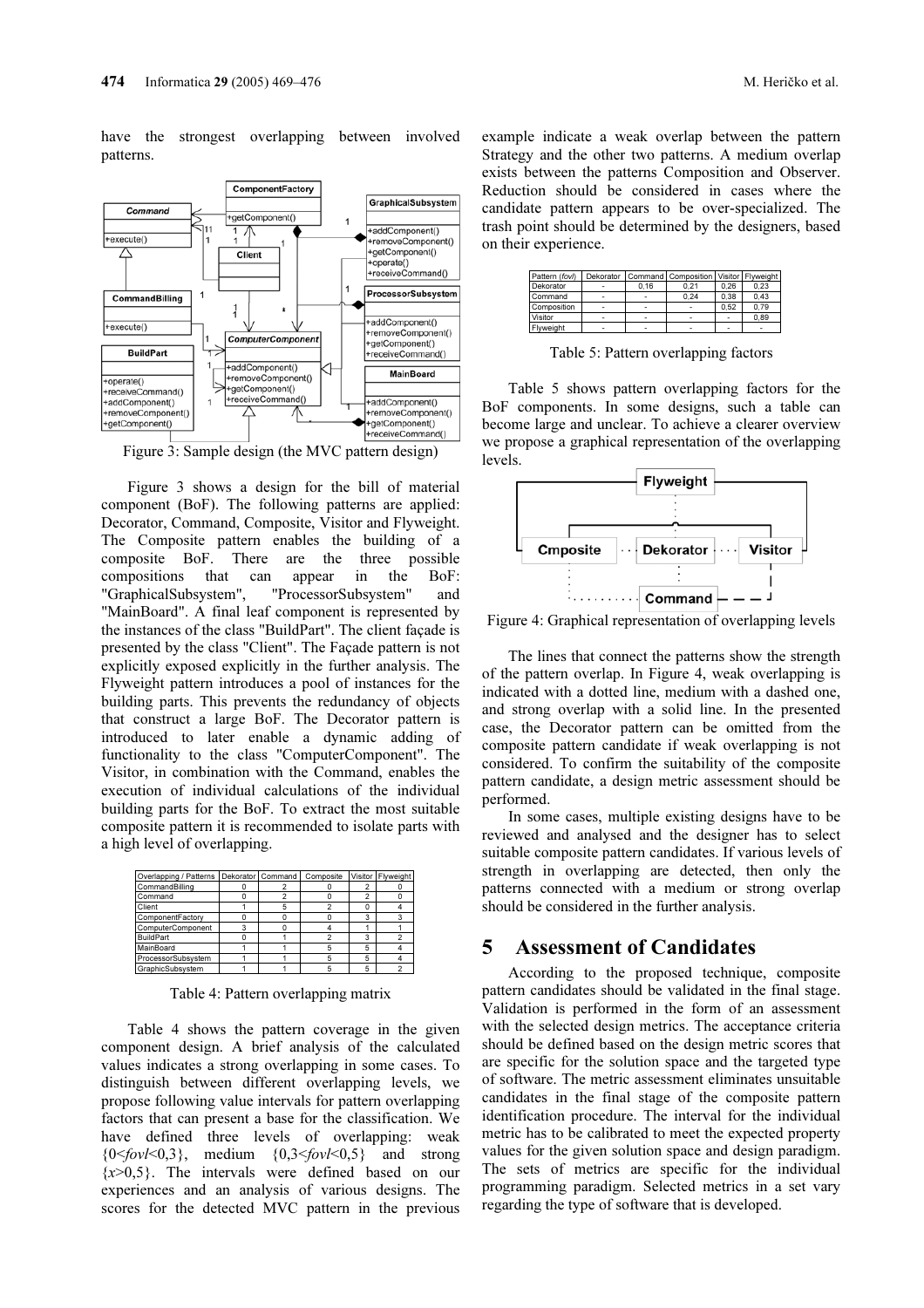have the strongest overlapping between involved patterns.



Figure 3: Sample design (the MVC pattern design)

Figure 3 shows a design for the bill of material component (BoF). The following patterns are applied: Decorator, Command, Composite, Visitor and Flyweight. The Composite pattern enables the building of a composite BoF. There are the three possible compositions that can appear in the BoF: "GraphicalSubsystem", "ProcessorSubsystem" and "MainBoard". A final leaf component is represented by the instances of the class "BuildPart". The client façade is presented by the class "Client". The Façade pattern is not explicitly exposed explicitly in the further analysis. The Flyweight pattern introduces a pool of instances for the building parts. This prevents the redundancy of objects that construct a large BoF. The Decorator pattern is introduced to later enable a dynamic adding of functionality to the class "ComputerComponent". The Visitor, in combination with the Command, enables the execution of individual calculations of the individual building parts for the BoF. To extract the most suitable composite pattern it is recommended to isolate parts with a high level of overlapping.

| Overlapping / Patterns   Dekorator   Command |  | Composite | Visitor Flyweight |
|----------------------------------------------|--|-----------|-------------------|
| CommandBilling                               |  |           |                   |
| Command                                      |  |           |                   |
| Client                                       |  |           |                   |
| ComponentFactory                             |  |           |                   |
| ComputerComponent                            |  |           |                   |
| <b>BuildPart</b>                             |  |           |                   |
| <b>MainBoard</b>                             |  |           |                   |
| ProcessorSubsystem                           |  |           |                   |
| GraphicSubsystem                             |  |           |                   |

Table 4: Pattern overlapping matrix

Table 4 shows the pattern coverage in the given component design. A brief analysis of the calculated values indicates a strong overlapping in some cases. To distinguish between different overlapping levels, we propose following value intervals for pattern overlapping factors that can present a base for the classification. We have defined three levels of overlapping: weak  ${0 \leq fov \leq 0,3}$ , medium  ${0,3 \leq fov \leq 0,5}$  and strong  $\{x>0,5\}$ . The intervals were defined based on our experiences and an analysis of various designs. The scores for the detected MVC pattern in the previous example indicate a weak overlap between the pattern Strategy and the other two patterns. A medium overlap exists between the patterns Composition and Observer. Reduction should be considered in cases where the candidate pattern appears to be over-specialized. The trash point should be determined by the designers, based on their experience.

| Pattern (fovl) |      | Dekorator   Command   Composition   Visitor   Flyweight |      |      |
|----------------|------|---------------------------------------------------------|------|------|
| Dekorator      | 0.16 | 0.21                                                    | 0.26 | 0.23 |
| Command        |      | 0.24                                                    | 0.38 | 0.43 |
| Composition    |      |                                                         | 0.52 | 0.79 |
| Visitor        |      |                                                         |      | 0.89 |
| Flyweight      |      |                                                         |      |      |

Table 5: Pattern overlapping factors

Table 5 shows pattern overlapping factors for the BoF components. In some designs, such a table can become large and unclear. To achieve a clearer overview we propose a graphical representation of the overlapping levels.



Figure 4: Graphical representation of overlapping levels

The lines that connect the patterns show the strength of the pattern overlap. In Figure 4, weak overlapping is indicated with a dotted line, medium with a dashed one, and strong overlap with a solid line. In the presented case, the Decorator pattern can be omitted from the composite pattern candidate if weak overlapping is not considered. To confirm the suitability of the composite pattern candidate, a design metric assessment should be performed.

In some cases, multiple existing designs have to be reviewed and analysed and the designer has to select suitable composite pattern candidates. If various levels of strength in overlapping are detected, then only the patterns connected with a medium or strong overlap should be considered in the further analysis.

#### 5 Assessment of Candidates

According to the proposed technique, composite pattern candidates should be validated in the final stage. Validation is performed in the form of an assessment with the selected design metrics. The acceptance criteria should be defined based on the design metric scores that are specific for the solution space and the targeted type of software. The metric assessment eliminates unsuitable candidates in the final stage of the composite pattern identification procedure. The interval for the individual metric has to be calibrated to meet the expected property values for the given solution space and design paradigm. The sets of metrics are specific for the individual programming paradigm. Selected metrics in a set vary regarding the type of software that is developed.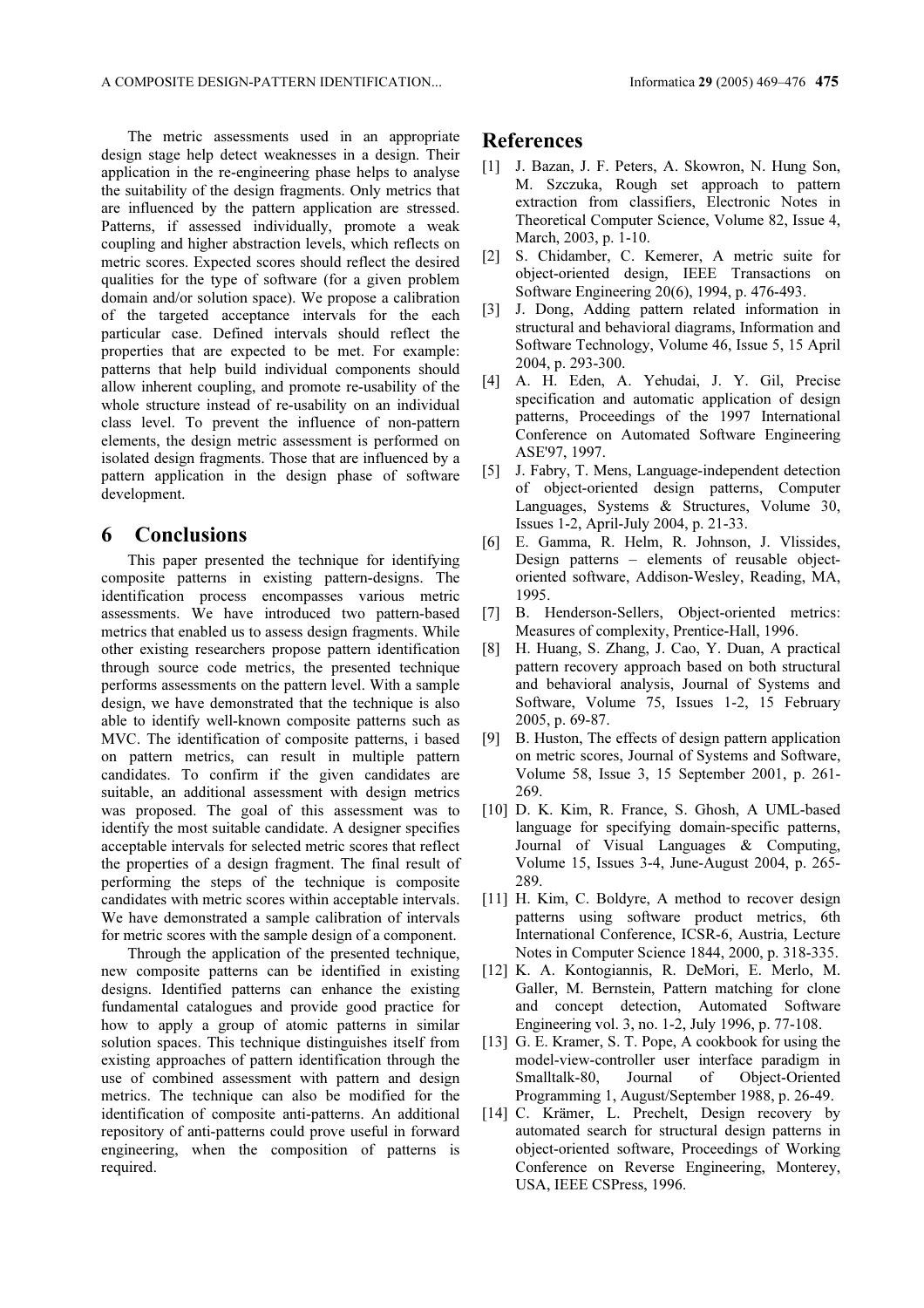The metric assessments used in an appropriate design stage help detect weaknesses in a design. Their application in the re-engineering phase helps to analyse the suitability of the design fragments. Only metrics that are influenced by the pattern application are stressed. Patterns, if assessed individually, promote a weak coupling and higher abstraction levels, which reflects on metric scores. Expected scores should reflect the desired qualities for the type of software (for a given problem domain and/or solution space). We propose a calibration of the targeted acceptance intervals for the each particular case. Defined intervals should reflect the properties that are expected to be met. For example: patterns that help build individual components should allow inherent coupling, and promote re-usability of the whole structure instead of re-usability on an individual class level. To prevent the influence of non-pattern elements, the design metric assessment is performed on isolated design fragments. Those that are influenced by a pattern application in the design phase of software development.

# 6 Conclusions

This paper presented the technique for identifying composite patterns in existing pattern-designs. The identification process encompasses various metric assessments. We have introduced two pattern-based metrics that enabled us to assess design fragments. While other existing researchers propose pattern identification through source code metrics, the presented technique performs assessments on the pattern level. With a sample design, we have demonstrated that the technique is also able to identify well-known composite patterns such as MVC. The identification of composite patterns, i based on pattern metrics, can result in multiple pattern candidates. To confirm if the given candidates are suitable, an additional assessment with design metrics was proposed. The goal of this assessment was to identify the most suitable candidate. A designer specifies acceptable intervals for selected metric scores that reflect the properties of a design fragment. The final result of performing the steps of the technique is composite candidates with metric scores within acceptable intervals. We have demonstrated a sample calibration of intervals for metric scores with the sample design of a component.

Through the application of the presented technique, new composite patterns can be identified in existing designs. Identified patterns can enhance the existing fundamental catalogues and provide good practice for how to apply a group of atomic patterns in similar solution spaces. This technique distinguishes itself from existing approaches of pattern identification through the use of combined assessment with pattern and design metrics. The technique can also be modified for the identification of composite anti-patterns. An additional repository of anti-patterns could prove useful in forward engineering, when the composition of patterns is required.

## References

- [1] J. Bazan, J. F. Peters, A. Skowron, N. Hung Son, M. Szczuka, Rough set approach to pattern extraction from classifiers, Electronic Notes in Theoretical Computer Science, Volume 82, Issue 4, March, 2003, p. 1-10.
- [2] S. Chidamber, C. Kemerer, A metric suite for object-oriented design, IEEE Transactions on Software Engineering 20(6), 1994, p. 476-493.
- [3] J. Dong, Adding pattern related information in structural and behavioral diagrams, Information and Software Technology, Volume 46, Issue 5, 15 April 2004, p. 293-300.
- [4] A. H. Eden, A. Yehudai, J. Y. Gil, Precise specification and automatic application of design patterns, Proceedings of the 1997 International Conference on Automated Software Engineering ASE'97, 1997.
- [5] J. Fabry, T. Mens, Language-independent detection of object-oriented design patterns, Computer Languages, Systems & Structures, Volume 30, Issues 1-2, April-July 2004, p. 21-33.
- [6] E. Gamma, R. Helm, R. Johnson, J. Vlissides, Design patterns – elements of reusable objectoriented software, Addison-Wesley, Reading, MA, 1995.
- [7] B. Henderson-Sellers, Object-oriented metrics: Measures of complexity, Prentice-Hall, 1996.
- [8] H. Huang, S. Zhang, J. Cao, Y. Duan, A practical pattern recovery approach based on both structural and behavioral analysis, Journal of Systems and Software, Volume 75, Issues 1-2, 15 February 2005, p. 69-87.
- [9] B. Huston, The effects of design pattern application on metric scores, Journal of Systems and Software, Volume 58, Issue 3, 15 September 2001, p. 261- 269.
- [10] D. K. Kim, R. France, S. Ghosh, A UML-based language for specifying domain-specific patterns, Journal of Visual Languages & Computing, Volume 15, Issues 3-4, June-August 2004, p. 265- 289.
- [11] H. Kim, C. Boldyre, A method to recover design patterns using software product metrics, 6th International Conference, ICSR-6, Austria, Lecture Notes in Computer Science 1844, 2000, p. 318-335.
- [12] K. A. Kontogiannis, R. DeMori, E. Merlo, M. Galler, M. Bernstein, Pattern matching for clone and concept detection, Automated Software Engineering vol. 3, no. 1-2, July 1996, p. 77-108.
- [13] G. E. Kramer, S. T. Pope, A cookbook for using the model-view-controller user interface paradigm in Smalltalk-80, Journal of Object-Oriented Programming 1, August/September 1988, p. 26-49.
- [14] C. Krämer, L. Prechelt, Design recovery by automated search for structural design patterns in object-oriented software, Proceedings of Working Conference on Reverse Engineering, Monterey, USA, IEEE CSPress, 1996.